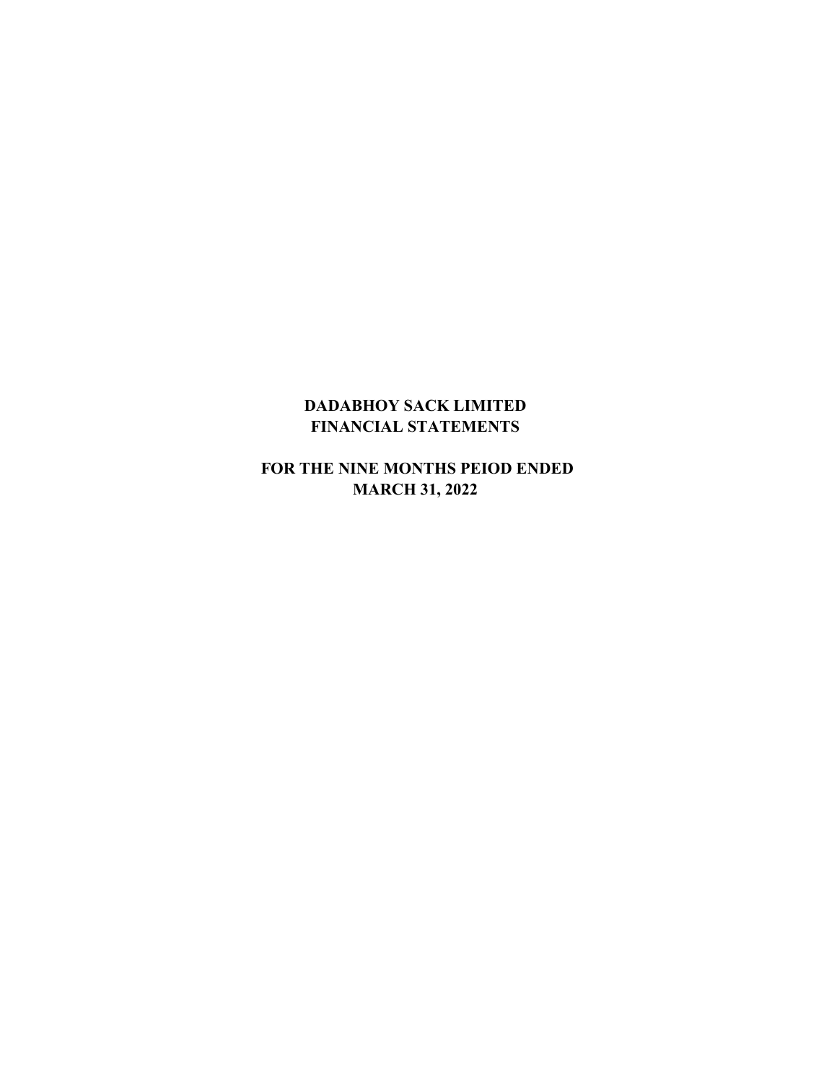# **DADABHOY SACK LIMITED FINANCIAL STATEMENTS**

 **FOR THE NINE MONTHS PEIOD ENDED MARCH 31, 2022**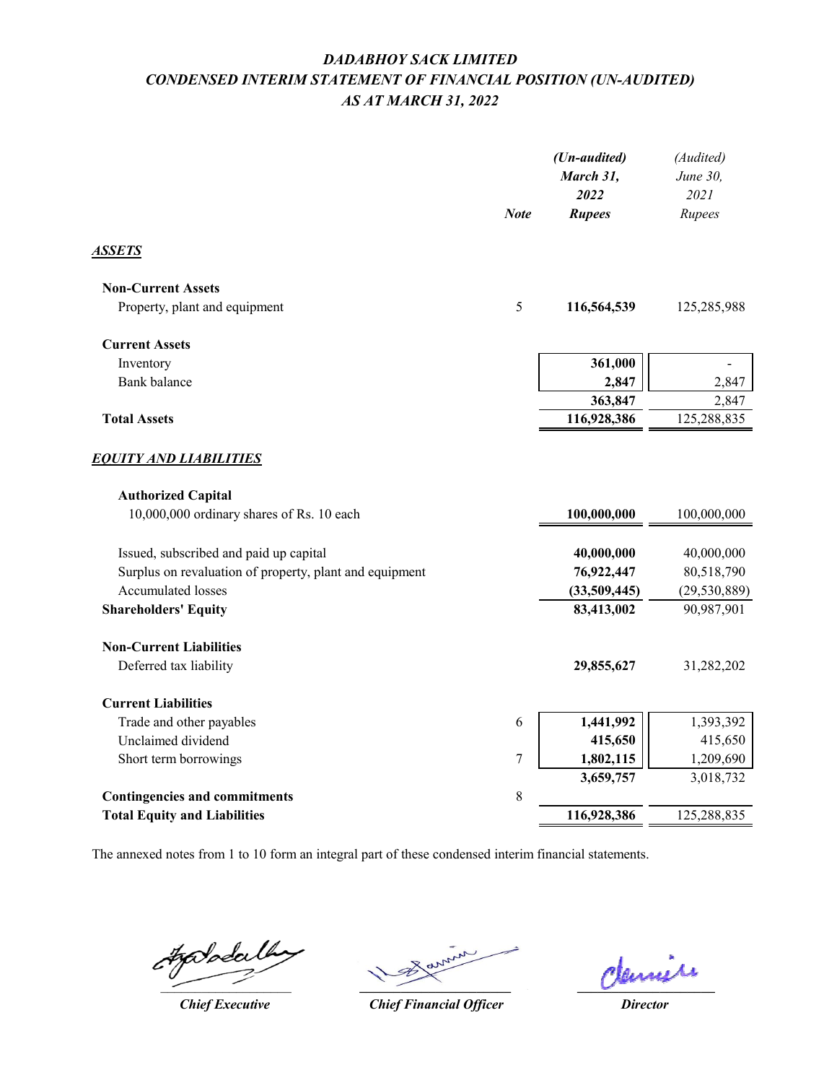# *DADABHOY SACK LIMITED CONDENSED INTERIM STATEMENT OF FINANCIAL POSITION (UN-AUDITED) AS AT MARCH 31, 2022*

|                                                         | <b>Note</b> | (Un-audited)<br>March 31,<br>2022<br><b>Rupees</b> | (Audited)<br>June 30,<br>2021<br>Rupees |
|---------------------------------------------------------|-------------|----------------------------------------------------|-----------------------------------------|
| ASSETS                                                  |             |                                                    |                                         |
| <b>Non-Current Assets</b>                               |             |                                                    |                                         |
| Property, plant and equipment                           | 5           | 116,564,539                                        | 125,285,988                             |
| <b>Current Assets</b>                                   |             |                                                    |                                         |
| Inventory                                               |             | 361,000                                            |                                         |
| <b>Bank</b> balance                                     |             | 2,847                                              | 2,847                                   |
|                                                         |             | 363,847                                            | 2,847                                   |
| <b>Total Assets</b>                                     |             | 116,928,386                                        | 125,288,835                             |
| <u>EQUITY AND LIABILITIES</u>                           |             |                                                    |                                         |
| <b>Authorized Capital</b>                               |             |                                                    |                                         |
| 10,000,000 ordinary shares of Rs. 10 each               |             | 100,000,000                                        | 100,000,000                             |
| Issued, subscribed and paid up capital                  |             | 40,000,000                                         | 40,000,000                              |
| Surplus on revaluation of property, plant and equipment |             | 76,922,447                                         | 80,518,790                              |
| Accumulated losses                                      |             | (33,509,445)                                       | (29, 530, 889)                          |
| <b>Shareholders' Equity</b>                             |             | 83,413,002                                         | 90,987,901                              |
| <b>Non-Current Liabilities</b>                          |             |                                                    |                                         |
| Deferred tax liability                                  |             | 29,855,627                                         | 31,282,202                              |
| <b>Current Liabilities</b>                              |             |                                                    |                                         |
| Trade and other payables                                | 6           | 1,441,992                                          | 1,393,392                               |
| Unclaimed dividend                                      |             | 415,650                                            | 415,650                                 |
| Short term borrowings                                   | 7           | 1,802,115                                          | 1,209,690                               |
|                                                         |             | 3,659,757                                          | 3,018,732                               |
| <b>Contingencies and commitments</b>                    | 8           |                                                    |                                         |
| <b>Total Equity and Liabilities</b>                     |             | 116,928,386                                        | 125,288,835                             |
|                                                         |             |                                                    |                                         |

 $#$ p $\partial$ pda

*Chief Executive*

 $\overline{\phantom{a}}$ 

**\_\_\_\_\_\_\_\_\_\_\_\_\_\_\_\_\_\_\_\_**

*Chief Financial Officer*

*Director*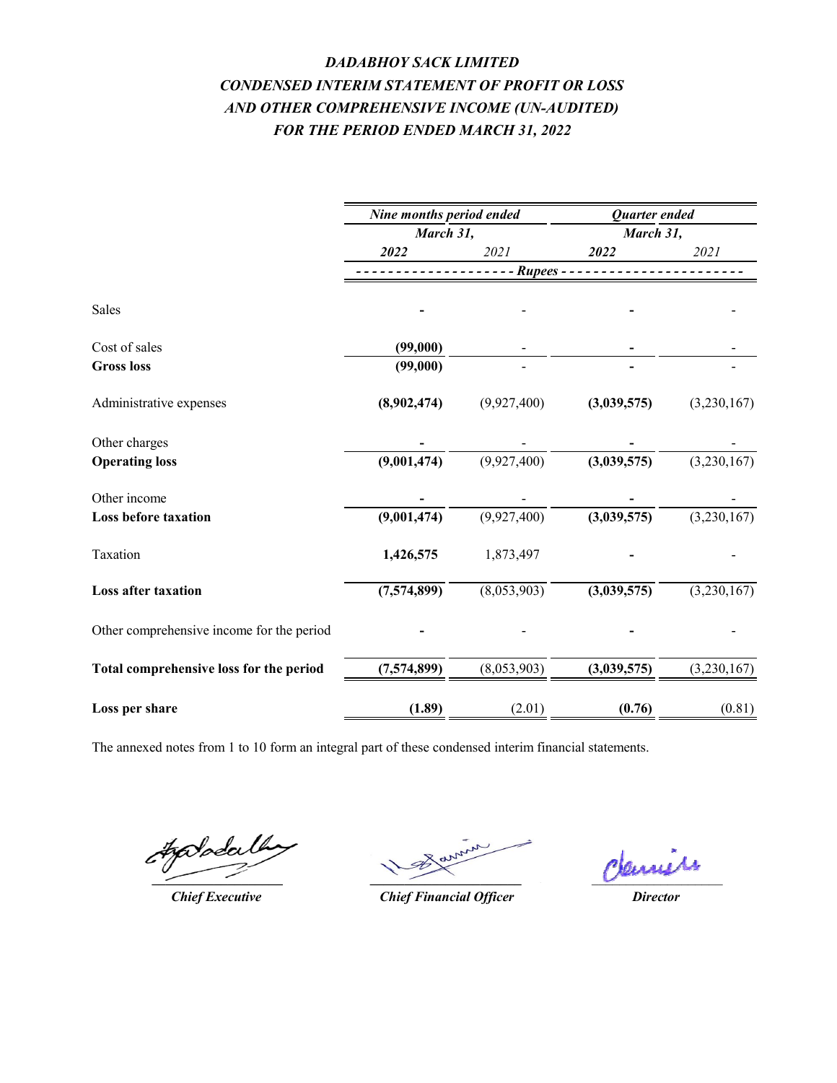# *DADABHOY SACK LIMITED FOR THE PERIOD ENDED MARCH 31, 2022 CONDENSED INTERIM STATEMENT OF PROFIT OR LOSS AND OTHER COMPREHENSIVE INCOME (UN-AUDITED)*

|                                           | Nine months period ended |             | <b>Quarter</b> ended |             |
|-------------------------------------------|--------------------------|-------------|----------------------|-------------|
|                                           | March 31,                |             | March 31,            |             |
|                                           | 2022                     | 2021        | 2022                 | 2021        |
|                                           |                          | Rupees -    |                      |             |
| Sales                                     |                          |             |                      |             |
| Cost of sales                             | (99,000)                 |             |                      |             |
| <b>Gross loss</b>                         | (99,000)                 |             |                      |             |
| Administrative expenses                   | (8,902,474)              | (9,927,400) | (3,039,575)          | (3,230,167) |
| Other charges                             |                          |             |                      |             |
| <b>Operating loss</b>                     | (9,001,474)              | (9,927,400) | (3,039,575)          | (3,230,167) |
| Other income                              |                          |             |                      |             |
| <b>Loss before taxation</b>               | (9,001,474)              | (9,927,400) | (3,039,575)          | (3,230,167) |
| Taxation                                  | 1,426,575                | 1,873,497   |                      |             |
| Loss after taxation                       | (7,574,899)              | (8,053,903) | (3,039,575)          | (3,230,167) |
| Other comprehensive income for the period |                          |             |                      |             |
| Total comprehensive loss for the period   | (7,574,899)              | (8,053,903) | (3,039,575)          | (3,230,167) |
| Loss per share                            | (1.89)                   | (2.01)      | (0.76)               | (0.81)      |

#golodalh **\_\_\_\_\_\_\_\_\_\_\_\_\_\_\_\_\_\_\_**

*Chief Executive*

*\_\_\_\_\_\_\_\_\_\_\_\_\_\_\_\_\_\_\_\_\_\_*

*Chief Financial Officer*

deminis

*Director*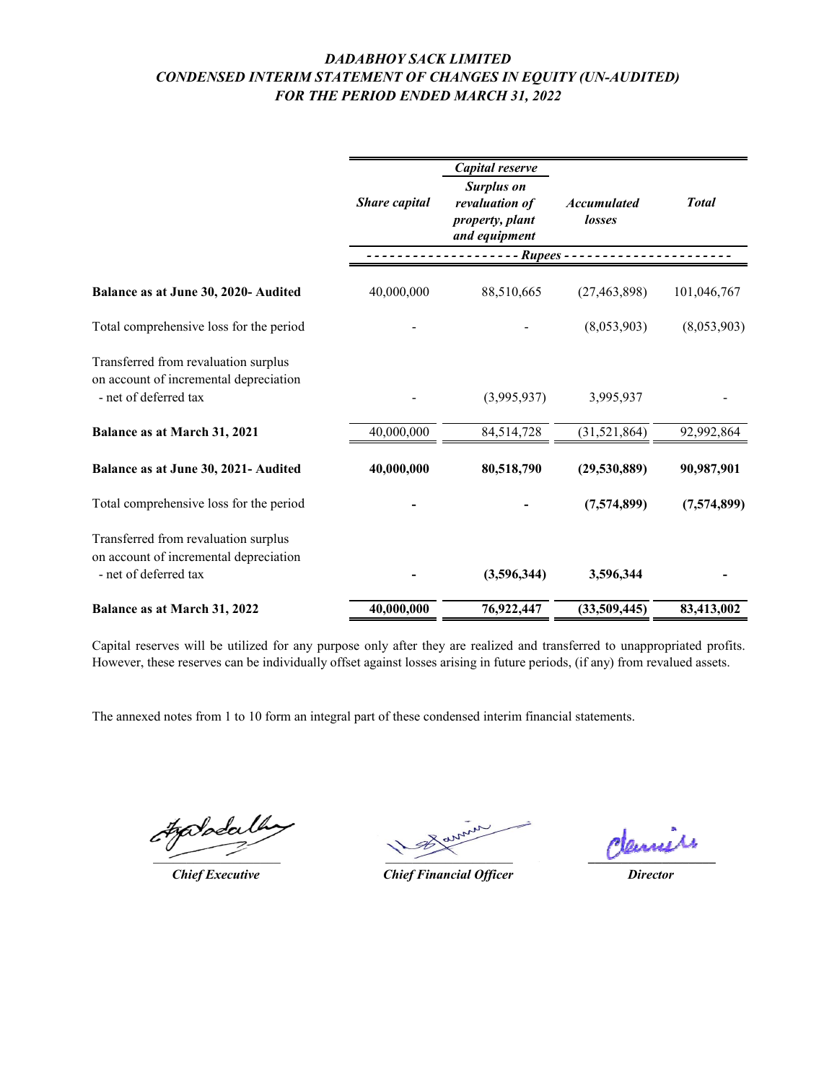## *DADABHOY SACK LIMITED CONDENSED INTERIM STATEMENT OF CHANGES IN EQUITY (UN-AUDITED) FOR THE PERIOD ENDED MARCH 31, 2022*

|                                                                                                         | Share capital | Capital reserve<br><b>Surplus on</b><br>revaluation of<br>property, plant<br>and equipment | <b>Accumulated</b><br>losses | <b>Total</b> |
|---------------------------------------------------------------------------------------------------------|---------------|--------------------------------------------------------------------------------------------|------------------------------|--------------|
|                                                                                                         |               | Rupees -                                                                                   |                              |              |
| Balance as at June 30, 2020- Audited                                                                    | 40,000,000    | 88,510,665                                                                                 | (27, 463, 898)               | 101,046,767  |
| Total comprehensive loss for the period                                                                 |               |                                                                                            | (8,053,903)                  | (8,053,903)  |
| Transferred from revaluation surplus<br>on account of incremental depreciation<br>- net of deferred tax |               | (3,995,937)                                                                                | 3,995,937                    |              |
| Balance as at March 31, 2021                                                                            | 40,000,000    | 84,514,728                                                                                 | (31, 521, 864)               | 92,992,864   |
| Balance as at June 30, 2021- Audited                                                                    | 40,000,000    | 80,518,790                                                                                 | (29,530,889)                 | 90,987,901   |
| Total comprehensive loss for the period                                                                 |               |                                                                                            | (7,574,899)                  | (7,574,899)  |
| Transferred from revaluation surplus<br>on account of incremental depreciation<br>- net of deferred tax |               | (3,596,344)                                                                                | 3,596,344                    |              |
| Balance as at March 31, 2022                                                                            | 40,000,000    | 76,922,447                                                                                 | (33,509,445)                 | 83,413,002   |

Capital reserves will be utilized for any purpose only after they are realized and transferred to unappropriated profits. However, these reserves can be individually offset against losses arising in future periods, (if any) from revalued assets.

Søda

 $\overline{\phantom{a}}$ 

\_\_\_\_\_\_\_\_\_\_\_\_\_\_\_\_\_\_\_ **\_\_\_\_\_\_\_\_\_\_\_\_\_\_\_\_\_\_\_**

*Chief Executive Director Chief Financial Officer*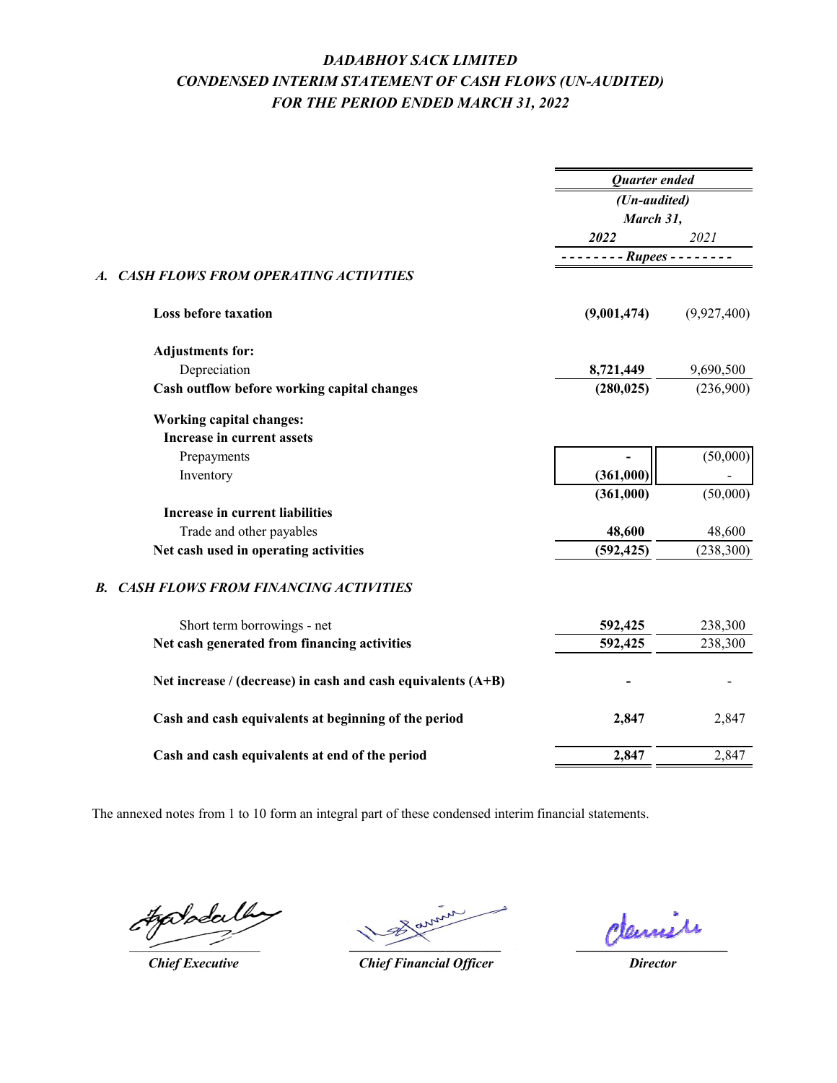# *DADABHOY SACK LIMITED CONDENSED INTERIM STATEMENT OF CASH FLOWS (UN-AUDITED) FOR THE PERIOD ENDED MARCH 31, 2022*

|                                                                | Quarter ended    |             |
|----------------------------------------------------------------|------------------|-------------|
|                                                                | (Un-audited)     |             |
|                                                                | March 31,        |             |
|                                                                | 2022             | 2021        |
|                                                                | $-$ - Rupees - - |             |
| <b>CASH FLOWS FROM OPERATING ACTIVITIES</b><br>A.              |                  |             |
| <b>Loss before taxation</b>                                    | (9,001,474)      | (9,927,400) |
| <b>Adjustments for:</b>                                        |                  |             |
| Depreciation                                                   | 8,721,449        | 9,690,500   |
| Cash outflow before working capital changes                    | (280, 025)       | (236,900)   |
| <b>Working capital changes:</b>                                |                  |             |
| Increase in current assets                                     |                  |             |
| Prepayments                                                    |                  | (50,000)    |
| Inventory                                                      | (361,000)        |             |
|                                                                | (361,000)        | (50,000)    |
| Increase in current liabilities                                |                  |             |
| Trade and other payables                                       | 48,600           | 48,600      |
| Net cash used in operating activities                          | (592, 425)       | (238, 300)  |
| <b>CASH FLOWS FROM FINANCING ACTIVITIES</b><br><b>B.</b>       |                  |             |
| Short term borrowings - net                                    | 592,425          | 238,300     |
| Net cash generated from financing activities                   | 592,425          | 238,300     |
| Net increase / (decrease) in cash and cash equivalents $(A+B)$ |                  |             |
| Cash and cash equivalents at beginning of the period           | 2,847            | 2,847       |
| Cash and cash equivalents at end of the period                 | 2,847            | 2,847       |

tododa Ų.  $\sim$ 

*Chief Executive*

*\_\_\_\_\_\_\_\_\_\_\_\_\_\_\_\_\_\_\_\_\_\_*

*\_\_\_\_\_\_\_\_\_\_\_\_\_\_\_\_\_\_\_\_\_\_*

*Director*

*Chief Financial Officer*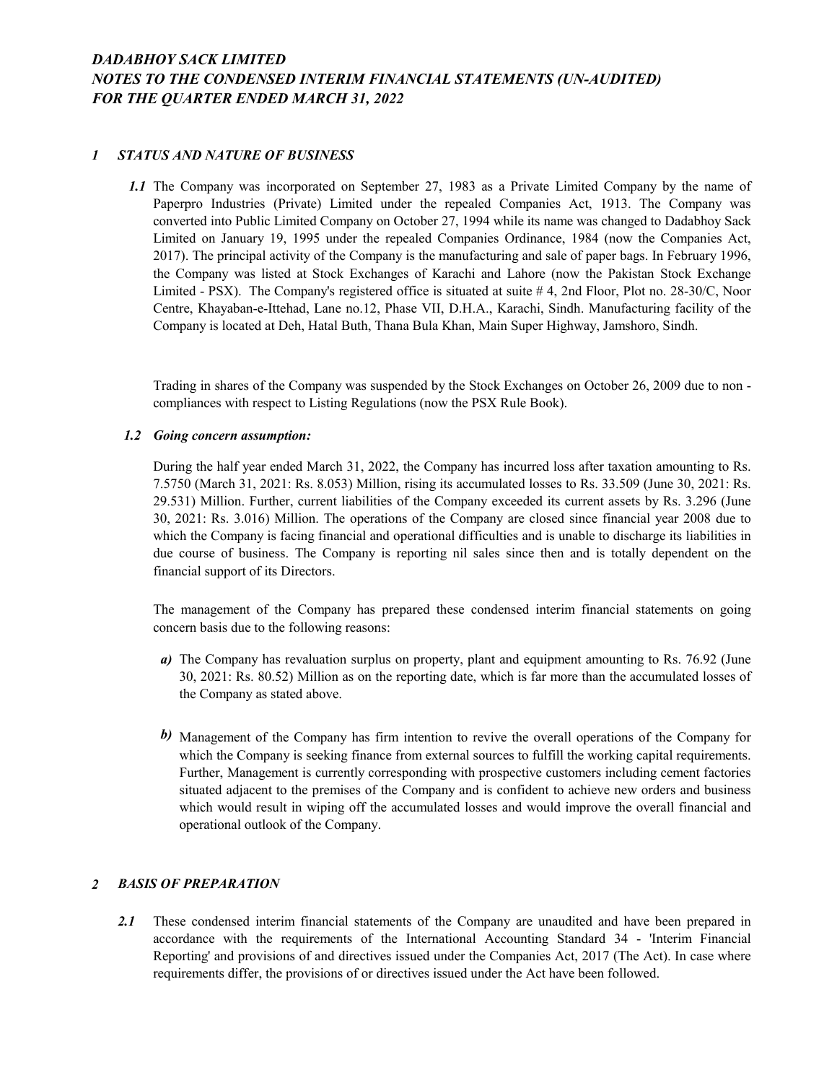## *DADABHOY SACK LIMITED NOTES TO THE CONDENSED INTERIM FINANCIAL STATEMENTS (UN-AUDITED) FOR THE QUARTER ENDED MARCH 31, 2022*

### *1 STATUS AND NATURE OF BUSINESS*

*1.1* The Company was incorporated on September 27, 1983 as a Private Limited Company by the name of Paperpro Industries (Private) Limited under the repealed Companies Act, 1913. The Company was converted into Public Limited Company on October 27, 1994 while its name was changed to Dadabhoy Sack Limited on January 19, 1995 under the repealed Companies Ordinance, 1984 (now the Companies Act, 2017). The principal activity of the Company is the manufacturing and sale of paper bags. In February 1996, the Company was listed at Stock Exchanges of Karachi and Lahore (now the Pakistan Stock Exchange Limited - PSX). The Company's registered office is situated at suite # 4, 2nd Floor, Plot no. 28-30/C, Noor Centre, Khayaban-e-Ittehad, Lane no.12, Phase VII, D.H.A., Karachi, Sindh. Manufacturing facility of the Company is located at Deh, Hatal Buth, Thana Bula Khan, Main Super Highway, Jamshoro, Sindh.

Trading in shares of the Company was suspended by the Stock Exchanges on October 26, 2009 due to non compliances with respect to Listing Regulations (now the PSX Rule Book).

### *1.2 Going concern assumption:*

During the half year ended March 31, 2022, the Company has incurred loss after taxation amounting to Rs. 7.5750 (March 31, 2021: Rs. 8.053) Million, rising its accumulated losses to Rs. 33.509 (June 30, 2021: Rs. 29.531) Million. Further, current liabilities of the Company exceeded its current assets by Rs. 3.296 (June 30, 2021: Rs. 3.016) Million. The operations of the Company are closed since financial year 2008 due to which the Company is facing financial and operational difficulties and is unable to discharge its liabilities in due course of business. The Company is reporting nil sales since then and is totally dependent on the financial support of its Directors.

The management of the Company has prepared these condensed interim financial statements on going concern basis due to the following reasons:

- *a*) The Company has revaluation surplus on property, plant and equipment amounting to Rs. 76.92 (June 30, 2021: Rs. 80.52) Million as on the reporting date, which is far more than the accumulated losses of the Company as stated above.
- *b)* Management of the Company has firm intention to revive the overall operations of the Company for which the Company is seeking finance from external sources to fulfill the working capital requirements. Further, Management is currently corresponding with prospective customers including cement factories situated adjacent to the premises of the Company and is confident to achieve new orders and business which would result in wiping off the accumulated losses and would improve the overall financial and operational outlook of the Company.

### *2 BASIS OF PREPARATION*

*2.1* These condensed interim financial statements of the Company are unaudited and have been prepared in accordance with the requirements of the International Accounting Standard 34 - 'Interim Financial Reporting' and provisions of and directives issued under the Companies Act, 2017 (The Act). In case where requirements differ, the provisions of or directives issued under the Act have been followed.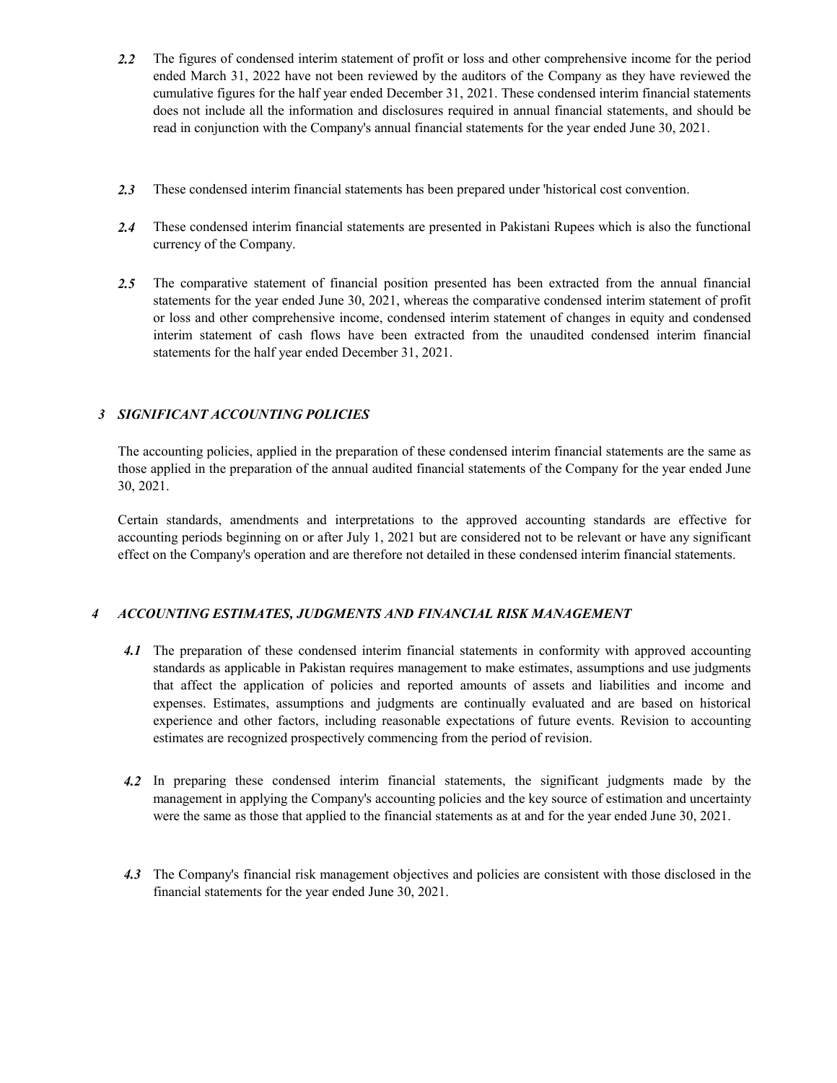- *2.2* The figures of condensed interim statement of profit or loss and other comprehensive income for the period ended March 31, 2022 have not been reviewed by the auditors of the Company as they have reviewed the cumulative figures for the half year ended December 31, 2021. These condensed interim financial statements does not include all the information and disclosures required in annual financial statements, and should be read in conjunction with the Company's annual financial statements for the year ended June 30, 2021.
- *2.3* These condensed interim financial statements has been prepared under 'historical cost convention.
- *2.4* These condensed interim financial statements are presented in Pakistani Rupees which is also the functional currency of the Company.
- *2.5* The comparative statement of financial position presented has been extracted from the annual financial statements for the year ended June 30, 2021, whereas the comparative condensed interim statement of profit or loss and other comprehensive income, condensed interim statement of changes in equity and condensed interim statement of cash flows have been extracted from the unaudited condensed interim financial statements for the half year ended December 31, 2021.

## *3 SIGNIFICANT ACCOUNTING POLICIES*

The accounting policies, applied in the preparation of these condensed interim financial statements are the same as those applied in the preparation of the annual audited financial statements of the Company for the year ended June 30, 2021.

Certain standards, amendments and interpretations to the approved accounting standards are effective for accounting periods beginning on or after July 1, 2021 but are considered not to be relevant or have any significant effect on the Company's operation and are therefore not detailed in these condensed interim financial statements.

### *4 ACCOUNTING ESTIMATES, JUDGMENTS AND FINANCIAL RISK MANAGEMENT*

- *4.1* The preparation of these condensed interim financial statements in conformity with approved accounting standards as applicable in Pakistan requires management to make estimates, assumptions and use judgments that affect the application of policies and reported amounts of assets and liabilities and income and expenses. Estimates, assumptions and judgments are continually evaluated and are based on historical experience and other factors, including reasonable expectations of future events. Revision to accounting estimates are recognized prospectively commencing from the period of revision.
- *4.2* In preparing these condensed interim financial statements, the significant judgments made by the management in applying the Company's accounting policies and the key source of estimation and uncertainty were the same as those that applied to the financial statements as at and for the year ended June 30, 2021.
- *4.3* The Company's financial risk management objectives and policies are consistent with those disclosed in the financial statements for the year ended June 30, 2021.